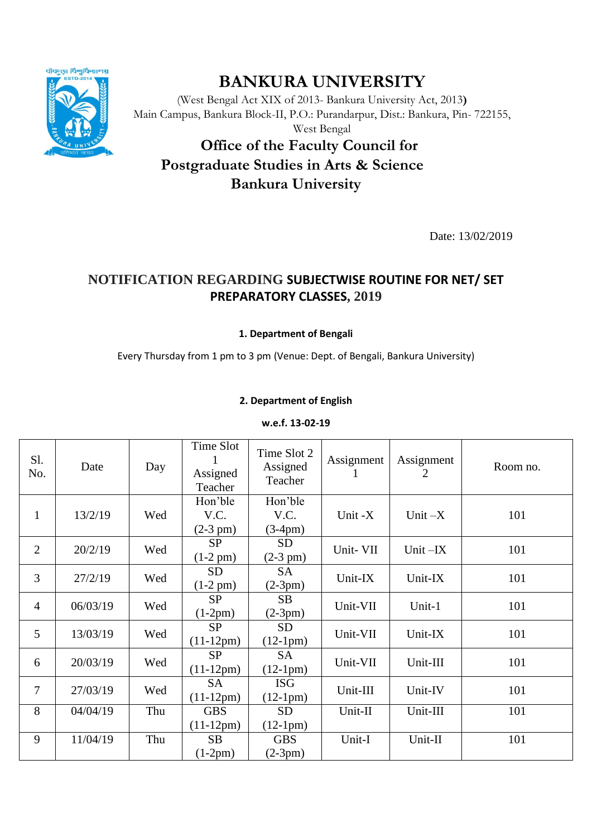

# **BANKURA UNIVERSITY**

(West Bengal Act XIX of 2013- Bankura University Act, 2013**)** Main Campus, Bankura Block-II, P.O.: Purandarpur, Dist.: Bankura, Pin- 722155, West Bengal

# **Office of the Faculty Council for Postgraduate Studies in Arts & Science Bankura University**

Date: 13/02/2019

# **NOTIFICATION REGARDING SUBJECTWISE ROUTINE FOR NET/ SET PREPARATORY CLASSES, 2019**

# **1. Department of Bengali**

Every Thursday from 1 pm to 3 pm (Venue: Dept. of Bengali, Bankura University)

# **2. Department of English**

## **w.e.f. 13-02-19**

| S1.<br>No.     | Date     | Day | Time Slot<br>Assigned<br>Teacher | Time Slot 2<br>Assigned<br>Teacher | Assignment | Assignment<br>2 | Room no. |
|----------------|----------|-----|----------------------------------|------------------------------------|------------|-----------------|----------|
| $\mathbf{1}$   | 13/2/19  | Wed | Hon'ble<br>V.C.<br>$(2-3 pm)$    | Hon'ble<br>V.C.<br>$(3-4pm)$       | Unit -X    | Unit $-X$       | 101      |
| $\overline{2}$ | 20/2/19  | Wed | <b>SP</b><br>$(1-2 pm)$          | <b>SD</b><br>$(2-3 pm)$            | Unit- VII  | Unit $-X$       | 101      |
| 3              | 27/2/19  | Wed | <b>SD</b><br>$(1-2 \text{ pm})$  | <b>SA</b><br>$(2-3pm)$             | Unit-IX    | Unit-IX         | 101      |
| $\overline{4}$ | 06/03/19 | Wed | <b>SP</b><br>$(1-2pm)$           | SB<br>$(2-3pm)$                    | Unit-VII   | Unit-1          | 101      |
| 5              | 13/03/19 | Wed | <b>SP</b><br>$(11-12pm)$         | <b>SD</b><br>$(12-1pm)$            | Unit-VII   | Unit-IX         | 101      |
| 6              | 20/03/19 | Wed | <b>SP</b><br>$(11-12pm)$         | <b>SA</b><br>$(12-1pm)$            | Unit-VII   | Unit-III        | 101      |
| 7              | 27/03/19 | Wed | <b>SA</b><br>$(11-12pm)$         | <b>ISG</b><br>$(12-1pm)$           | Unit-III   | Unit-IV         | 101      |
| 8              | 04/04/19 | Thu | <b>GBS</b><br>$(11-12pm)$        | <b>SD</b><br>$(12-1pm)$            | Unit-II    | Unit-III        | 101      |
| 9              | 11/04/19 | Thu | <b>SB</b><br>$(1-2pm)$           | <b>GBS</b><br>$(2-3pm)$            | Unit-I     | Unit-II         | 101      |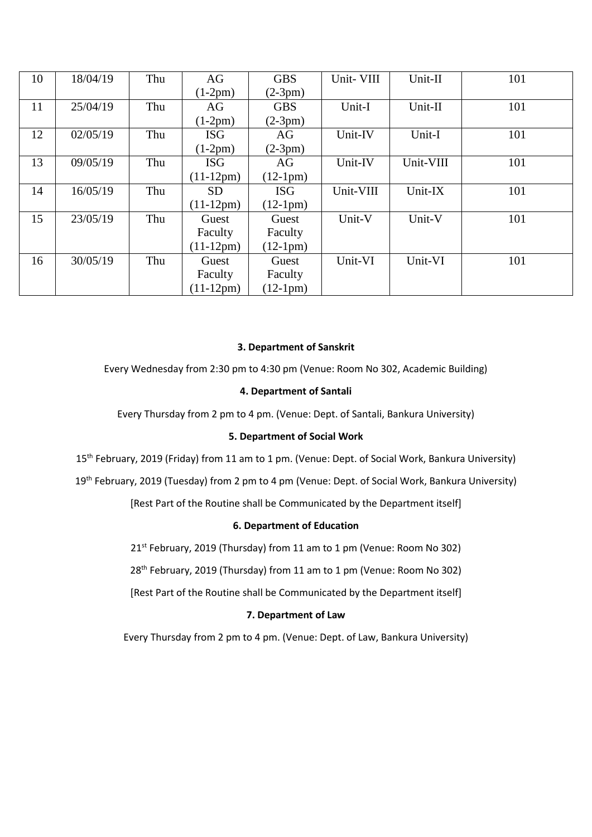| 10 | 18/04/19 | Thu | AG          | <b>GBS</b> | Unit- VIII | Unit-II   | 101 |
|----|----------|-----|-------------|------------|------------|-----------|-----|
|    |          |     | $(1-2pm)$   | $(2-3pm)$  |            |           |     |
| 11 | 25/04/19 | Thu | AG          | <b>GBS</b> | Unit-I     | Unit-II   | 101 |
|    |          |     | $(1-2pm)$   | $(2-3pm)$  |            |           |     |
| 12 | 02/05/19 | Thu | <b>ISG</b>  | AG         | Unit-IV    | Unit-I    | 101 |
|    |          |     | $(1-2pm)$   | $(2-3pm)$  |            |           |     |
| 13 | 09/05/19 | Thu | <b>ISG</b>  | AG         | Unit-IV    | Unit-VIII | 101 |
|    |          |     | $(11-12pm)$ | $(12-1pm)$ |            |           |     |
| 14 | 16/05/19 | Thu | <b>SD</b>   | <b>ISG</b> | Unit-VIII  | Unit-IX   | 101 |
|    |          |     | $(11-12pm)$ | $(12-1pm)$ |            |           |     |
| 15 | 23/05/19 | Thu | Guest       | Guest      | Unit-V     | Unit-V    | 101 |
|    |          |     | Faculty     | Faculty    |            |           |     |
|    |          |     | $(11-12pm)$ | $(12-1pm)$ |            |           |     |
| 16 | 30/05/19 | Thu | Guest       | Guest      | Unit-VI    | Unit-VI   | 101 |
|    |          |     | Faculty     | Faculty    |            |           |     |
|    |          |     | $(11-12pm)$ | $(12-1pm)$ |            |           |     |

### **3. Department of Sanskrit**

Every Wednesday from 2:30 pm to 4:30 pm (Venue: Room No 302, Academic Building)

#### **4. Department of Santali**

Every Thursday from 2 pm to 4 pm. (Venue: Dept. of Santali, Bankura University)

#### **5. Department of Social Work**

15<sup>th</sup> February, 2019 (Friday) from 11 am to 1 pm. (Venue: Dept. of Social Work, Bankura University)

19<sup>th</sup> February, 2019 (Tuesday) from 2 pm to 4 pm (Venue: Dept. of Social Work, Bankura University)

[Rest Part of the Routine shall be Communicated by the Department itself]

#### **6. Department of Education**

21<sup>st</sup> February, 2019 (Thursday) from 11 am to 1 pm (Venue: Room No 302)

28<sup>th</sup> February, 2019 (Thursday) from 11 am to 1 pm (Venue: Room No 302)

[Rest Part of the Routine shall be Communicated by the Department itself]

## **7. Department of Law**

Every Thursday from 2 pm to 4 pm. (Venue: Dept. of Law, Bankura University)